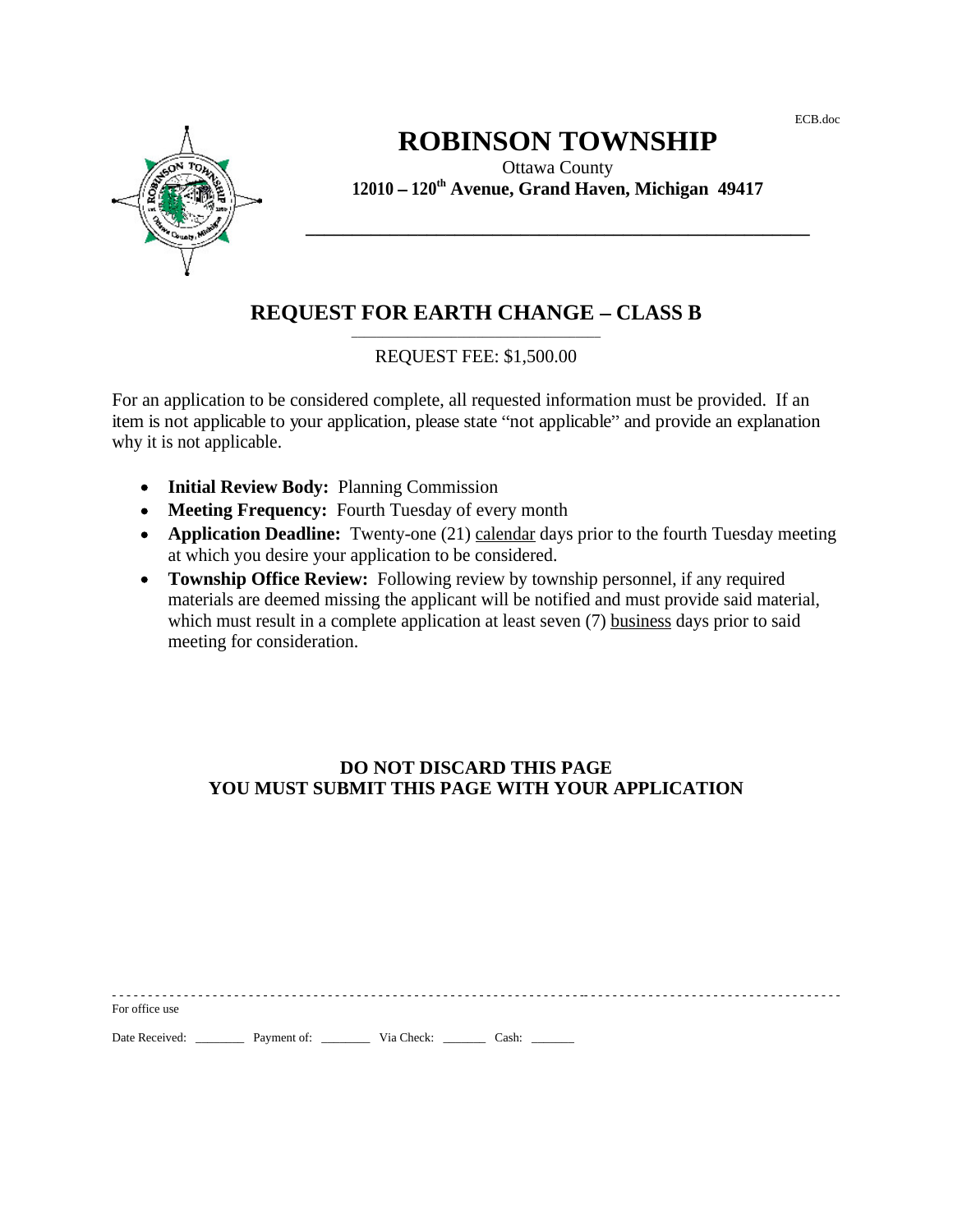ECB.doc

For office use the state of the state of the state of the state of the state of the state of the state of the state of the state of the state of the state of the state of the state of the state of the state of the state of

**\_\_\_\_\_\_\_\_\_\_\_\_\_\_\_\_\_\_\_\_\_\_\_\_\_\_\_\_\_\_\_\_\_\_\_\_\_\_\_\_\_\_\_\_\_\_\_\_\_\_\_\_\_\_**

\_\_\_\_\_\_\_\_\_\_\_\_\_\_\_\_\_\_\_\_\_\_\_\_\_\_\_\_\_\_\_\_\_\_\_\_\_\_\_\_



# **ROBINSON TOWNSHIP**

Ottawa County **12010 120th Avenue, Grand Haven, Michigan 49417**

# **REQUEST FOR EARTH CHANGE - CLASS B**

## REQUEST FEE: \$1,500.00

For an application to be considered complete, all requested information must be provided. If an item is not applicable to your application, please state "not applicable" and provide an explanation why it is not applicable.

- **Initial Review Body:** Planning Commission
- **Meeting Frequency:** Fourth Tuesday of every month
- **Application Deadline:** Twenty-one (21) calendar days prior to the fourth Tuesday meeting at which you desire your application to be considered.
- **Township Office Review:** Following review by township personnel, if any required materials are deemed missing the applicant will be notified and must provide said material, which must result in a complete application at least seven (7) business days prior to said meeting for consideration.

### **DO NOT DISCARD THIS PAGE YOU MUST SUBMIT THIS PAGE WITH YOUR APPLICATION**

- - - - - - - - - - - - - - - - - - - - - - - - - - - - - - - - - - - - - - - - - - - - - - - - - - - - - - - - - - - - - - - - - -- - - - - - - - - - - - - - - - - - - - - - - - - - - - - - - - - - - -

Date Received: \_\_\_\_\_\_\_\_\_\_ Payment of: \_\_\_\_\_\_\_\_\_\_ Via Check: \_\_\_\_\_\_\_\_ Cash: \_\_\_\_\_\_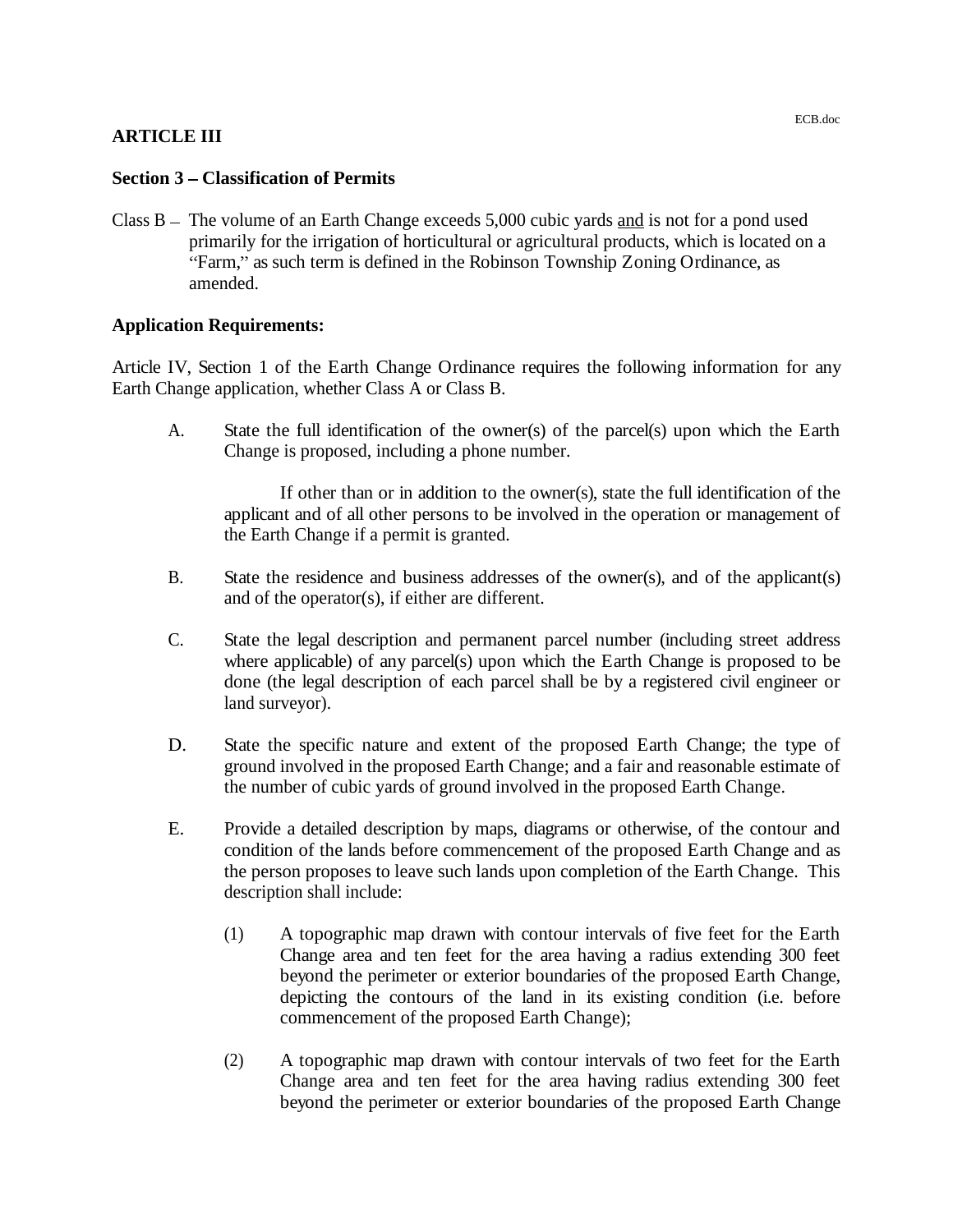#### **ARTICLE III**

#### **Section 3 – Classification of Permits**

Class  $B -$  The volume of an Earth Change exceeds 5,000 cubic yards and is not for a pond used primarily for the irrigation of horticultural or agricultural products, which is located on a "Farm," as such term is defined in the Robinson Township Zoning Ordinance, as amended.

#### **Application Requirements:**

Article IV, Section 1 of the Earth Change Ordinance requires the following information for any Earth Change application, whether Class A or Class B.

A. State the full identification of the owner(s) of the parcel(s) upon which the Earth Change is proposed, including a phone number.

If other than or in addition to the owner(s), state the full identification of the applicant and of all other persons to be involved in the operation or management of the Earth Change if a permit is granted.

- B. State the residence and business addresses of the owner(s), and of the applicant(s) and of the operator(s), if either are different.
- C. State the legal description and permanent parcel number (including street address where applicable) of any parcel(s) upon which the Earth Change is proposed to be done (the legal description of each parcel shall be by a registered civil engineer or land surveyor).
- D. State the specific nature and extent of the proposed Earth Change; the type of ground involved in the proposed Earth Change; and a fair and reasonable estimate of the number of cubic yards of ground involved in the proposed Earth Change.
- E. Provide a detailed description by maps, diagrams or otherwise, of the contour and condition of the lands before commencement of the proposed Earth Change and as the person proposes to leave such lands upon completion of the Earth Change. This description shall include:
	- (1) A topographic map drawn with contour intervals of five feet for the Earth Change area and ten feet for the area having a radius extending 300 feet beyond the perimeter or exterior boundaries of the proposed Earth Change, depicting the contours of the land in its existing condition (i.e. before commencement of the proposed Earth Change);
	- (2) A topographic map drawn with contour intervals of two feet for the Earth Change area and ten feet for the area having radius extending 300 feet beyond the perimeter or exterior boundaries of the proposed Earth Change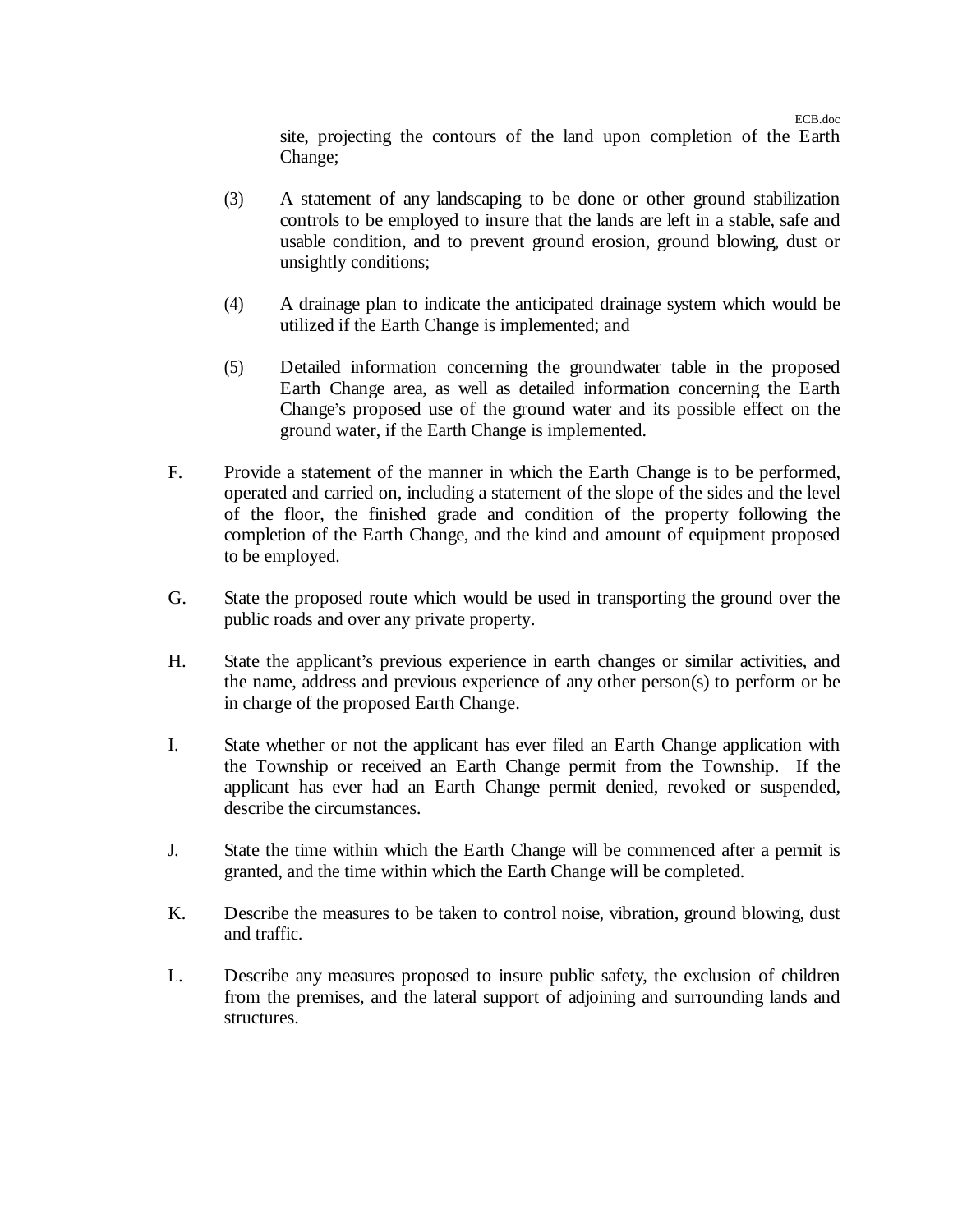ECB.doc

site, projecting the contours of the land upon completion of the Earth Change;

- (3) A statement of any landscaping to be done or other ground stabilization controls to be employed to insure that the lands are leftin a stable, safe and usable condition, and to prevent ground erosion, ground blowing, dust or unsightly conditions;
- (4) A drainage plan to indicate the anticipated drainage system which would be utilized if the Earth Change is implemented; and
- (5) Detailed information concerning the groundwater table in the proposed Earth Change area, as well as detailed information concerning the Earth Change's proposed use of the ground water and its possible effect on the ground water, if the Earth Change is implemented.
- F. Provide a statement of the manner in which the Earth Change is to be performed, operated and carried on, including a statement of the slope of the sides and the level of the floor, the finished grade and condition of the property following the completion of the Earth Change, and the kind and amount of equipment proposed to be employed.
- G. State the proposed route which would be used in transporting the ground over the public roads and over any private property.
- H. State the applicant's previous experience in earth changes or similar activities, and the name, address and previous experience of any other person(s) to perform or be in charge of the proposed Earth Change.
- I. State whether or not the applicant has ever filed an Earth Change application with the Township or received an Earth Change permit from the Township. If the applicant has ever had an Earth Change permit denied, revoked or suspended, describe the circumstances.
- J. State the time within which the Earth Change will be commenced after a permit is granted, and the time within which the Earth Change will be completed.
- K. Describe the measures to be taken to control noise, vibration, ground blowing, dust and traffic.
- L. Describe any measures proposed to insure public safety, the exclusion of children from the premises, and the lateral support of adjoining and surrounding lands and structures.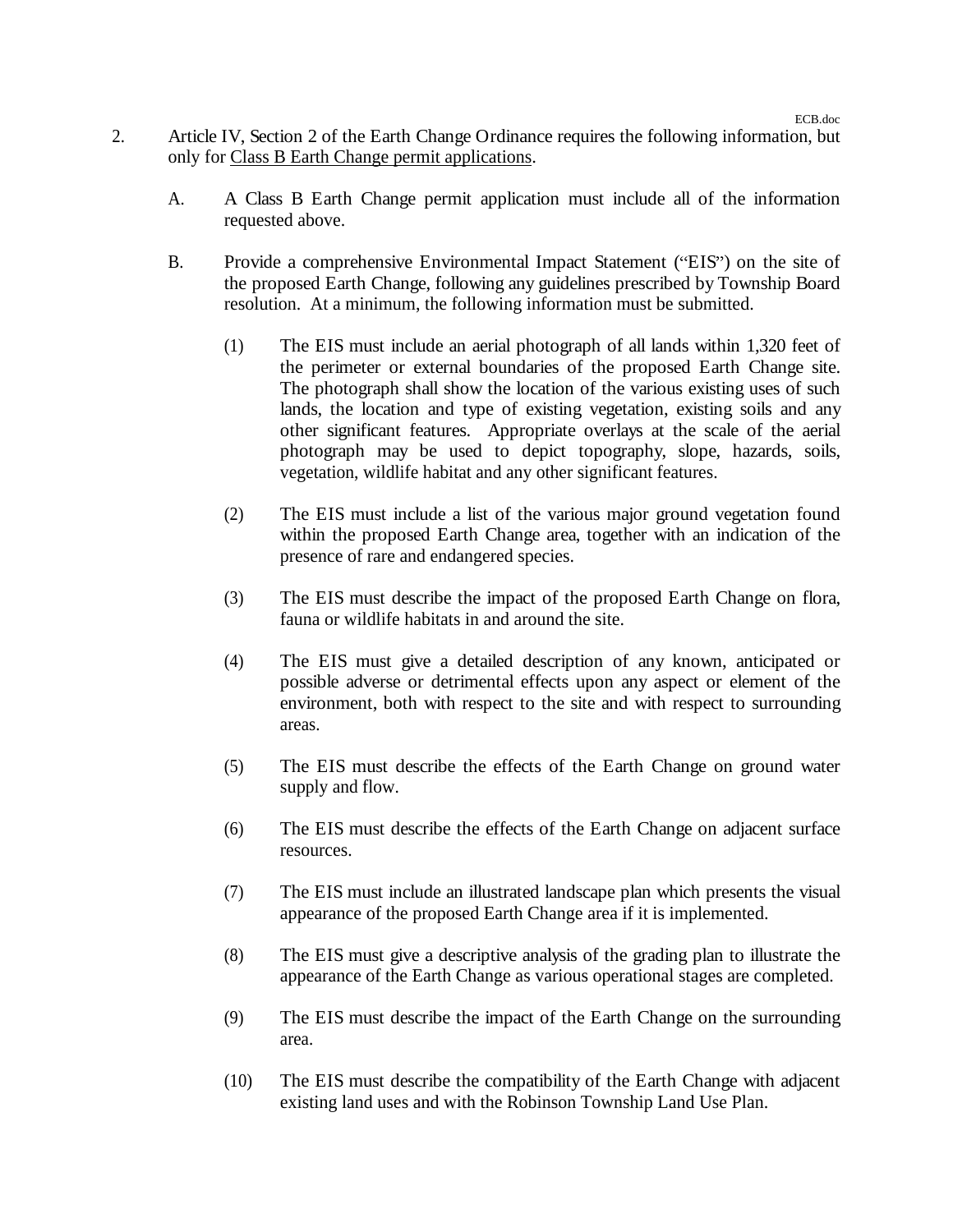- 2. Article IV, Section 2 of the Earth Change Ordinance requires the following information, but only for Class B Earth Change permit applications.
	- A. A Class B Earth Change permit application must include all of the information requested above.
	- B. Provide a comprehensive Environmental Impact Statement ("EIS") on the site of the proposed Earth Change, following any guidelines prescribed by Township Board resolution. At a minimum, the following information must be submitted.
		- (1) The EIS must include an aerial photograph of all lands within 1,320 feet of the perimeter or external boundaries of the proposed Earth Change site. The photograph shall show the location of the various existing uses of such lands, the location and type of existing vegetation, existing soils and any other significant features. Appropriate overlays at the scale of the aerial photograph may be used to depict topography, slope, hazards, soils, vegetation, wildlife habitat and any other significant features.
		- (2) The EIS must include a list of the various major ground vegetation found within the proposed Earth Change area, together with an indication of the presence of rare and endangered species.
		- (3) The EIS must describe the impact of the proposed Earth Change on flora, fauna or wildlife habitats in and around the site.
		- (4) The EIS must give a detailed description of any known, anticipated or possible adverse or detrimental effects upon any aspect or element of the environment, both with respect to the site and with respect to surrounding areas.
		- (5) The EIS must describe the effects of the Earth Change on ground water supply and flow.
		- (6) The EIS must describe the effects of the Earth Change on adjacent surface resources.
		- (7) The EIS must include an illustrated landscape plan which presents the visual appearance of the proposed Earth Change area if it is implemented.
		- (8) The EIS must give a descriptive analysis of the grading plan to illustrate the appearance of the Earth Change as various operational stages are completed.
		- (9) The EIS must describe the impact of the Earth Change on the surrounding area.
		- (10) The EIS must describe the compatibility of the Earth Change with adjacent existing land uses and with the Robinson Township Land Use Plan.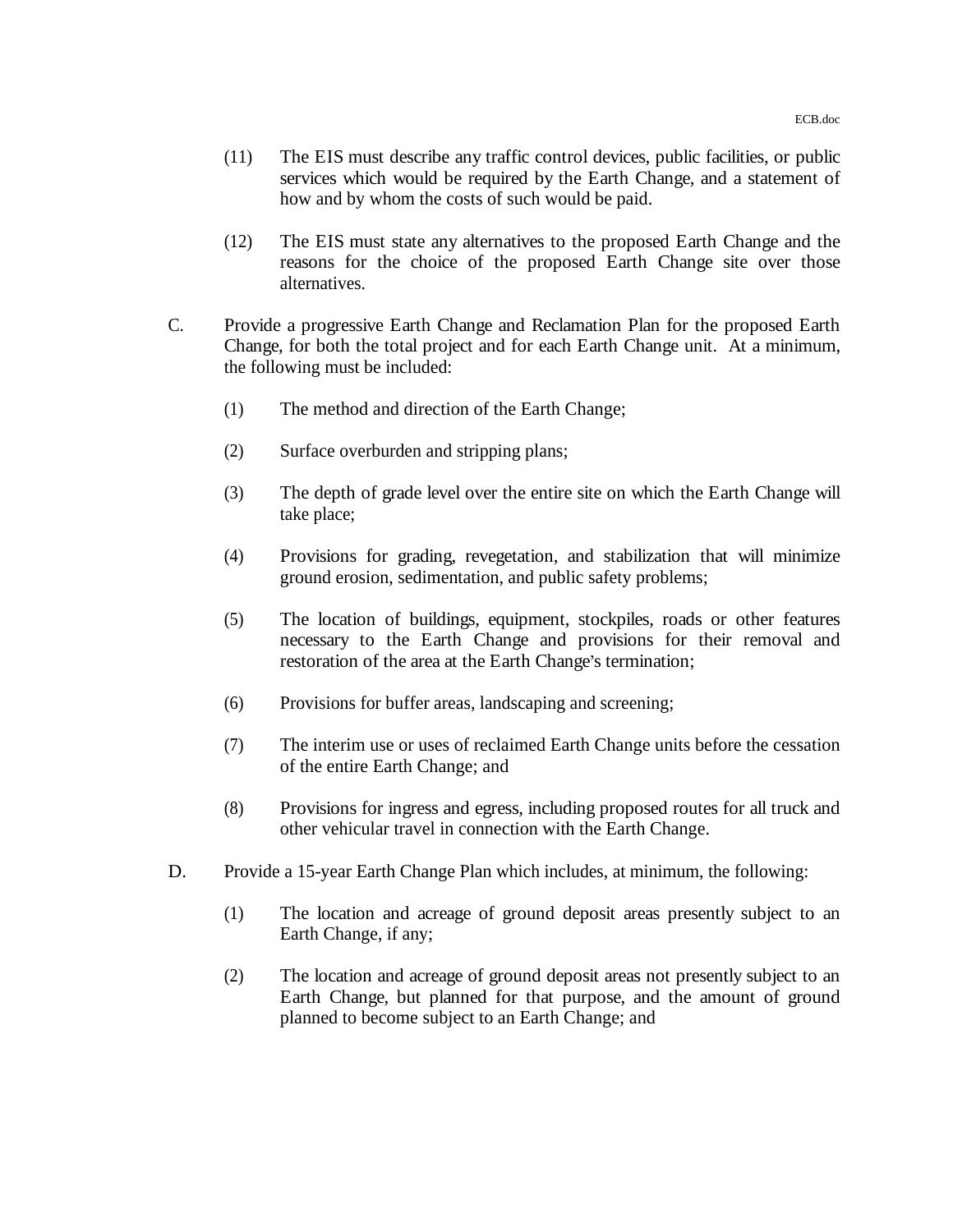- (11) The EIS must describe any traffic control devices, public facilities, or public services which would be required by the Earth Change, and a statement of how and by whom the costs of such would be paid.
- (12) The EIS must state any alternatives to the proposed Earth Change and the reasons for the choice of the proposed Earth Change site over those alternatives.
- C. Provide a progressive Earth Change and Reclamation Plan for the proposed Earth Change, for both the total project and for each Earth Change unit. At a minimum, the following must be included:
	- (1) The method and direction of the Earth Change;
	- (2) Surface overburden and stripping plans;
	- (3) The depth of grade level over the entire site on which the Earth Change will take place;
	- (4) Provisions for grading, revegetation, and stabilization that will minimize ground erosion, sedimentation, and public safety problems;
	- (5) The location of buildings, equipment, stockpiles, roads or other features necessary to the Earth Change and provisions for their removal and restoration of the area at the Earth Change's termination;
	- (6) Provisions for buffer areas, landscaping and screening;
	- (7) The interim use or uses of reclaimed Earth Change units before the cessation of the entire Earth Change; and
	- (8) Provisions for ingress and egress, including proposed routes for all truck and other vehicular travel in connection with the Earth Change.
- D. Provide a 15-year Earth Change Plan which includes, at minimum, the following:
	- (1) The location and acreage of ground deposit areas presently subject to an Earth Change, if any;
	- (2) The location and acreage of ground deposit areas not presently subject to an Earth Change, but planned for that purpose, and the amount of ground planned to become subject to an Earth Change; and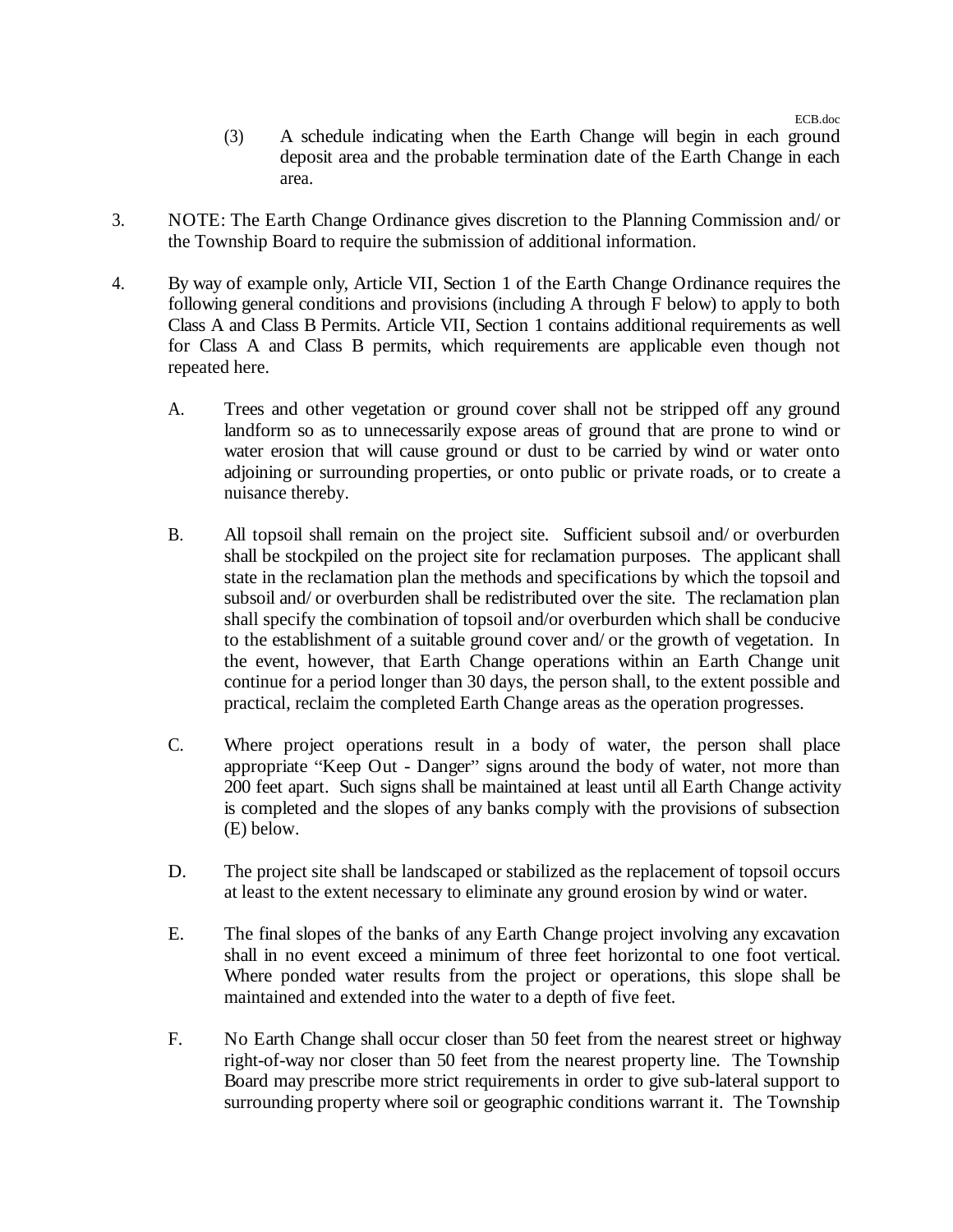- (3) A schedule indicating when the Earth Change will begin in each ground deposit area and the probable termination date of the Earth Change in each area.
- 3. NOTE: The Earth Change Ordinance gives discretion to the Planning Commission and/ or the Township Board to require the submission of additional information.
- 4. By way of example only, Article VII, Section 1 of the Earth Change Ordinance requires the following general conditions and provisions (including A through F below) to apply to both Class A and Class B Permits. Article VII, Section 1 contains additional requirements as well for Class A and Class B permits, which requirements are applicable even though not repeated here.
	- A. Trees and other vegetation or ground cover shall not be stripped off any ground landform so as to unnecessarily expose areas of ground that are prone to wind or water erosion that will cause ground or dust to be carried by wind or water onto adjoining or surrounding properties, or onto public or private roads, or to create a nuisance thereby.
	- B. All topsoil shall remain on the project site. Sufficient subsoil and/ or overburden shall be stockpiled on the project site for reclamation purposes. The applicant shall state in the reclamation plan the methods and specifications by which the topsoil and subsoil and/ or overburden shall be redistributed over the site. The reclamation plan shall specify the combination of topsoil and/or overburden which shall be conducive to the establishment of a suitable ground cover and/ or the growth of vegetation. In the event, however, that Earth Change operations within an Earth Change unit continue for a period longer than 30 days, the person shall, to the extent possible and practical, reclaim the completed Earth Change areas as the operation progresses.
	- C. Where project operations result in a body of water, the person shall place appropriate "Keep Out - Danger" signs around the body of water, not more than 200 feet apart. Such signs shall be maintained at least until all Earth Change activity is completed and the slopes of any banks comply with the provisions of subsection (E) below.
	- D. The project site shall be landscaped or stabilized as the replacement of topsoil occurs at least to the extent necessary to eliminate any ground erosion by wind or water.
	- E. The final slopes of the banks of any Earth Change project involving any excavation shall in no event exceed a minimum of three feet horizontal to one foot vertical. Where ponded water results from the project or operations, this slope shall be maintained and extended into the water to a depth of five feet.
	- F. No Earth Change shall occur closer than 50 feet from the nearest street or highway right-of-way nor closer than 50 feet from the nearest property line. The Township Board may prescribe more strict requirements in order to give sub-lateral support to surrounding property where soil or geographic conditions warrant it. The Township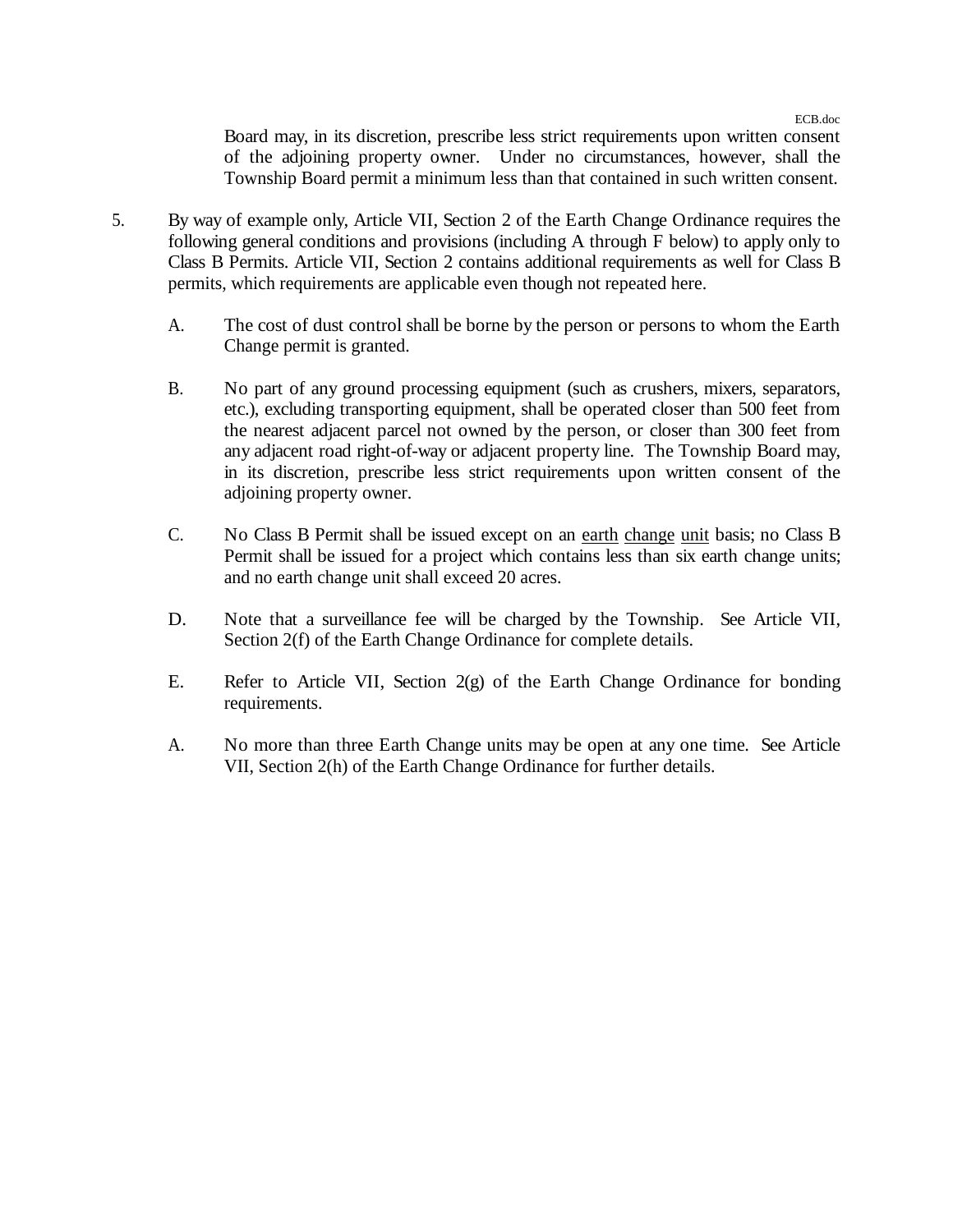ECB.doc

Board may, in its discretion, prescribe less strict requirements upon written consent of the adjoining property owner. Under no circumstances, however, shall the Township Board permit a minimum less than that contained in such written consent.

- 5. By way of example only, Article VII, Section 2 of the Earth Change Ordinance requires the following general conditions and provisions (including A through F below) to apply only to Class B Permits. Article VII, Section 2 contains additional requirements as well for Class B permits, which requirements are applicable even though not repeated here.
	- A. The cost of dust control shall be borne by the person or persons to whom the Earth Change permit is granted.
	- B. No part of any ground processing equipment (such as crushers, mixers, separators, etc.), excluding transporting equipment, shall be operated closer than 500 feet from the nearest adjacent parcel not owned by the person, or closer than 300 feet from any adjacent road right-of-way or adjacent property line. The Township Board may, in its discretion, prescribe less strict requirements upon written consent of the adjoining property owner.
	- C. No Class B Permit shall be issued except on an earth change unit basis; no Class B Permit shall be issued for a project which contains less than six earth change units; and no earth change unit shall exceed 20 acres.
	- D. Note that a surveillance fee will be charged by the Township. See Article VII, Section 2(f) of the Earth Change Ordinance for complete details.
	- E. Refer to Article VII, Section 2(g) of the Earth Change Ordinance for bonding requirements.
	- A. No more than three Earth Change units may be open at any one time. See Article VII, Section 2(h) of the Earth Change Ordinance for further details.